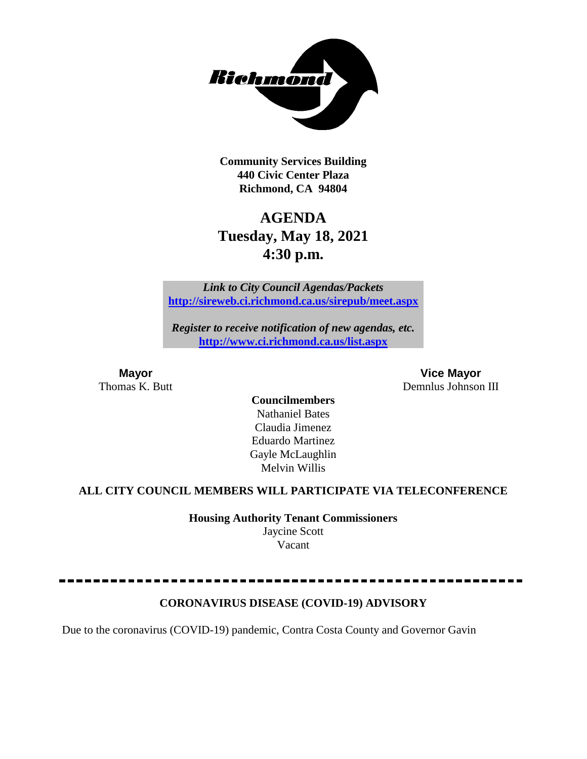

**Community Services Building 440 Civic Center Plaza Richmond, CA 94804**

# **AGENDA Tuesday, May 18, 2021 4:30 p.m.**

*Link to City Council Agendas/Packets* **<http://sireweb.ci.richmond.ca.us/sirepub/meet.aspx>**

*Register to receive notification of new agendas, etc.* **<http://www.ci.richmond.ca.us/list.aspx>**

**Mayor Vice Mayor** Thomas K. Butt Demnlus Johnson III

**Councilmembers** Nathaniel Bates Claudia Jimenez Eduardo Martinez Gayle McLaughlin Melvin Willis

#### **ALL CITY COUNCIL MEMBERS WILL PARTICIPATE VIA TELECONFERENCE**

**Housing Authority Tenant Commissioners** Jaycine Scott Vacant

### **CORONAVIRUS DISEASE (COVID-19) ADVISORY**

Due to the coronavirus (COVID-19) pandemic, Contra Costa County and Governor Gavin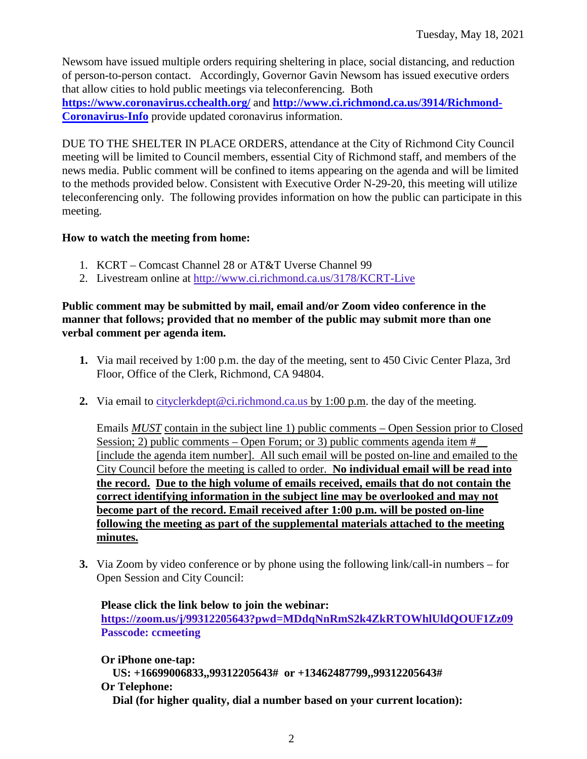Newsom have issued multiple orders requiring sheltering in place, social distancing, and reduction of person-to-person contact. Accordingly, Governor Gavin Newsom has issued executive orders that allow cities to hold public meetings via teleconferencing. Both **<https://www.coronavirus.cchealth.org/>** and **[http://www.ci.richmond.ca.us/3914/Richmond-](http://www.ci.richmond.ca.us/3914/Richmond-Coronavirus-Info)[Coronavirus-Info](http://www.ci.richmond.ca.us/3914/Richmond-Coronavirus-Info)** provide updated coronavirus information.

DUE TO THE SHELTER IN PLACE ORDERS, attendance at the City of Richmond City Council meeting will be limited to Council members, essential City of Richmond staff, and members of the news media. Public comment will be confined to items appearing on the agenda and will be limited to the methods provided below. Consistent with Executive Order N-29-20, this meeting will utilize teleconferencing only. The following provides information on how the public can participate in this meeting.

#### **How to watch the meeting from home:**

- 1. KCRT Comcast Channel 28 or AT&T Uverse Channel 99
- 2. Livestream online at<http://www.ci.richmond.ca.us/3178/KCRT-Live>

#### **Public comment may be submitted by mail, email and/or Zoom video conference in the manner that follows; provided that no member of the public may submit more than one verbal comment per agenda item.**

- **1.** Via mail received by 1:00 p.m. the day of the meeting, sent to 450 Civic Center Plaza, 3rd Floor, Office of the Clerk, Richmond, CA 94804.
- **2.** Via email to [cityclerkdept@ci.richmond.ca.us](mailto:cityclerkdept@ci.richmond.ca.us) by 1:00 p.m. the day of the meeting.

Emails *MUST* contain in the subject line 1) public comments – Open Session prior to Closed Session; 2) public comments – Open Forum; or 3) public comments agenda item  $#$ [include the agenda item number]. All such email will be posted on-line and emailed to the City Council before the meeting is called to order. **No individual email will be read into the record. Due to the high volume of emails received, emails that do not contain the correct identifying information in the subject line may be overlooked and may not become part of the record. Email received after 1:00 p.m. will be posted on-line following the meeting as part of the supplemental materials attached to the meeting minutes.**

**3.** Via Zoom by video conference or by phone using the following link/call-in numbers – for Open Session and City Council:

**Please click the link below to join the webinar: <https://zoom.us/j/99312205643?pwd=MDdqNnRmS2k4ZkRTOWhlUldQOUF1Zz09> Passcode: ccmeeting**

**Or iPhone one-tap: US: +16699006833,,99312205643# or +13462487799,,99312205643# Or Telephone: Dial (for higher quality, dial a number based on your current location):**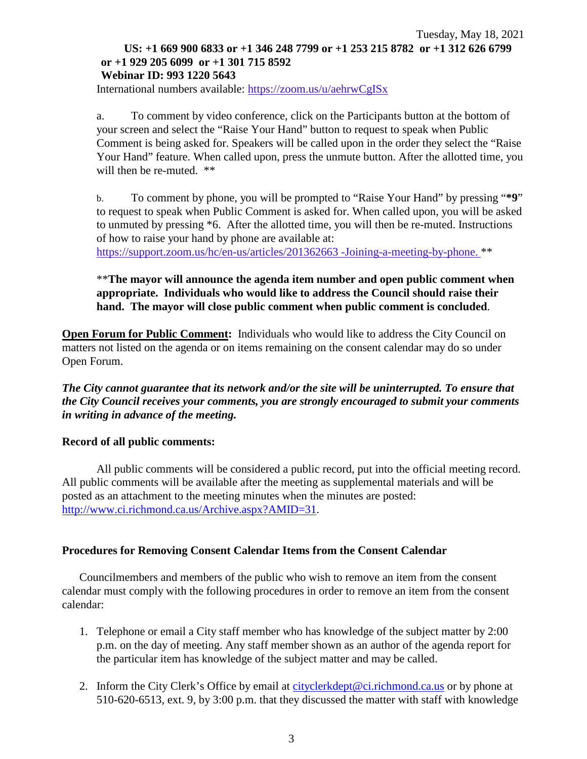#### Tuesday, May 18, 2021 **US: +1 669 900 6833 or +1 346 248 7799 or +1 253 215 8782 or +1 312 626 6799 or +1 929 205 6099 or +1 301 715 8592 Webinar ID: 993 1220 5643**

International numbers available: <https://zoom.us/u/aehrwCgISx>

a. To comment by video conference, click on the Participants button at the bottom of your screen and select the "Raise Your Hand" button to request to speak when Public Comment is being asked for. Speakers will be called upon in the order they select the "Raise Your Hand" feature. When called upon, press the unmute button. After the allotted time, you will then be re-muted.  $**$ 

b. To comment by phone, you will be prompted to "Raise Your Hand" by pressing "**\*9**" to request to speak when Public Comment is asked for. When called upon, you will be asked to unmuted by pressing \*6. After the allotted time, you will then be re-muted. Instructions of how to raise your hand by phone are available at:

[https://support.zoom.us/hc/en-us/articles/201362663 -Joining-a-meeting-by-phone.](https://support.zoom.us/hc/en-us/articles/201362663) \*\*

#### \*\***The mayor will announce the agenda item number and open public comment when appropriate. Individuals who would like to address the Council should raise their hand. The mayor will close public comment when public comment is concluded**.

**Open Forum for Public Comment:** Individuals who would like to address the City Council on matters not listed on the agenda or on items remaining on the consent calendar may do so under Open Forum.

*The City cannot guarantee that its network and/or the site will be uninterrupted. To ensure that the City Council receives your comments, you are strongly encouraged to submit your comments in writing in advance of the meeting.* 

#### **Record of all public comments:**

All public comments will be considered a public record, put into the official meeting record. All public comments will be available after the meeting as supplemental materials and will be posted as an attachment to the meeting minutes when the minutes are posted: [http://www.ci.richmond.ca.us/Archive.aspx?AMID=31.](http://www.ci.richmond.ca.us/Archive.aspx?AMID=31)

#### **Procedures for Removing Consent Calendar Items from the Consent Calendar**

Councilmembers and members of the public who wish to remove an item from the consent calendar must comply with the following procedures in order to remove an item from the consent calendar:

- 1. Telephone or email a City staff member who has knowledge of the subject matter by 2:00 p.m. on the day of meeting. Any staff member shown as an author of the agenda report for the particular item has knowledge of the subject matter and may be called.
- 2. Inform the City Clerk's Office by email at [cityclerkdept@ci.richmond.ca.us](mailto:cityclerkdept@ci.richmond.ca.us) or by phone at 510-620-6513, ext. 9, by 3:00 p.m. that they discussed the matter with staff with knowledge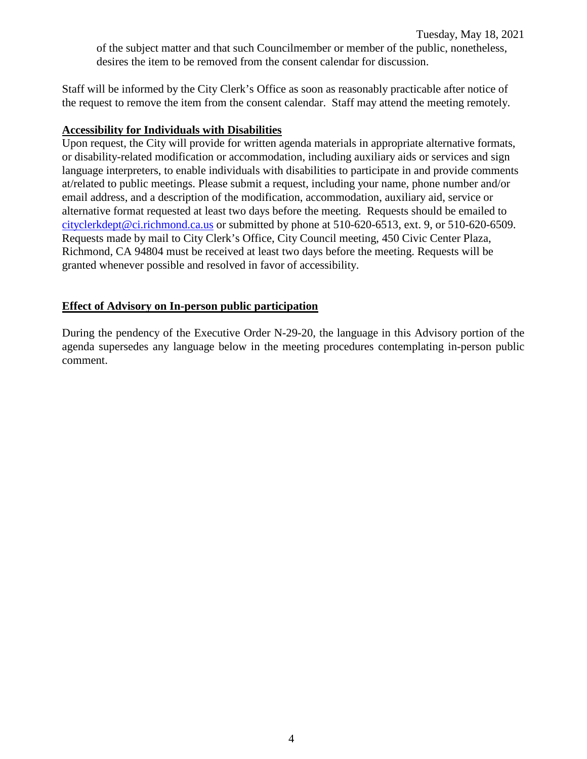Staff will be informed by the City Clerk's Office as soon as reasonably practicable after notice of the request to remove the item from the consent calendar. Staff may attend the meeting remotely.

#### **Accessibility for Individuals with Disabilities**

Upon request, the City will provide for written agenda materials in appropriate alternative formats, or disability-related modification or accommodation, including auxiliary aids or services and sign language interpreters, to enable individuals with disabilities to participate in and provide comments at/related to public meetings. Please submit a request, including your name, phone number and/or email address, and a description of the modification, accommodation, auxiliary aid, service or alternative format requested at least two days before the meeting. Requests should be emailed to [cityclerkdept@ci.richmond.ca.us](mailto:cityclerkdept@ci.richmond.ca.us) or submitted by phone at 510-620-6513, ext. 9, or 510-620-6509. Requests made by mail to City Clerk's Office, City Council meeting, 450 Civic Center Plaza, Richmond, CA 94804 must be received at least two days before the meeting. Requests will be granted whenever possible and resolved in favor of accessibility.

#### **Effect of Advisory on In-person public participation**

During the pendency of the Executive Order N-29-20, the language in this Advisory portion of the agenda supersedes any language below in the meeting procedures contemplating in-person public comment.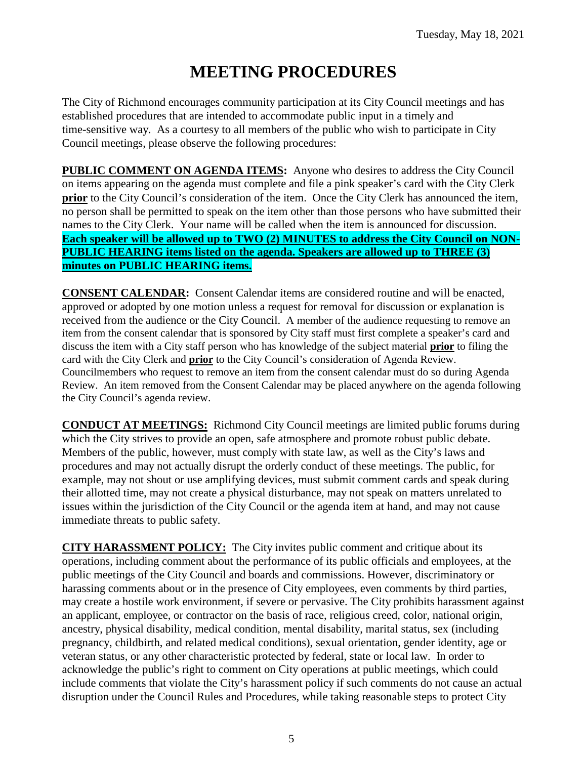# **MEETING PROCEDURES**

The City of Richmond encourages community participation at its City Council meetings and has established procedures that are intended to accommodate public input in a timely and time-sensitive way. As a courtesy to all members of the public who wish to participate in City Council meetings, please observe the following procedures:

**PUBLIC COMMENT ON AGENDA ITEMS:** Anyone who desires to address the City Council on items appearing on the agenda must complete and file a pink speaker's card with the City Clerk **prior** to the City Council's consideration of the item. Once the City Clerk has announced the item, no person shall be permitted to speak on the item other than those persons who have submitted their names to the City Clerk. Your name will be called when the item is announced for discussion. **Each speaker will be allowed up to TWO (2) MINUTES to address the City Council on NON-PUBLIC HEARING items listed on the agenda. Speakers are allowed up to THREE (3) minutes on PUBLIC HEARING items.**

**CONSENT CALENDAR:** Consent Calendar items are considered routine and will be enacted, approved or adopted by one motion unless a request for removal for discussion or explanation is received from the audience or the City Council. A member of the audience requesting to remove an item from the consent calendar that is sponsored by City staff must first complete a speaker's card and discuss the item with a City staff person who has knowledge of the subject material **prior** to filing the card with the City Clerk and **prior** to the City Council's consideration of Agenda Review. Councilmembers who request to remove an item from the consent calendar must do so during Agenda Review. An item removed from the Consent Calendar may be placed anywhere on the agenda following the City Council's agenda review.

**CONDUCT AT MEETINGS:** Richmond City Council meetings are limited public forums during which the City strives to provide an open, safe atmosphere and promote robust public debate. Members of the public, however, must comply with state law, as well as the City's laws and procedures and may not actually disrupt the orderly conduct of these meetings. The public, for example, may not shout or use amplifying devices, must submit comment cards and speak during their allotted time, may not create a physical disturbance, may not speak on matters unrelated to issues within the jurisdiction of the City Council or the agenda item at hand, and may not cause immediate threats to public safety.

**CITY HARASSMENT POLICY:** The City invites public comment and critique about its operations, including comment about the performance of its public officials and employees, at the public meetings of the City Council and boards and commissions. However, discriminatory or harassing comments about or in the presence of City employees, even comments by third parties, may create a hostile work environment, if severe or pervasive. The City prohibits harassment against an applicant, employee, or contractor on the basis of race, religious creed, color, national origin, ancestry, physical disability, medical condition, mental disability, marital status, sex (including pregnancy, childbirth, and related medical conditions), sexual orientation, gender identity, age or veteran status, or any other characteristic protected by federal, state or local law. In order to acknowledge the public's right to comment on City operations at public meetings, which could include comments that violate the City's harassment policy if such comments do not cause an actual disruption under the Council Rules and Procedures, while taking reasonable steps to protect City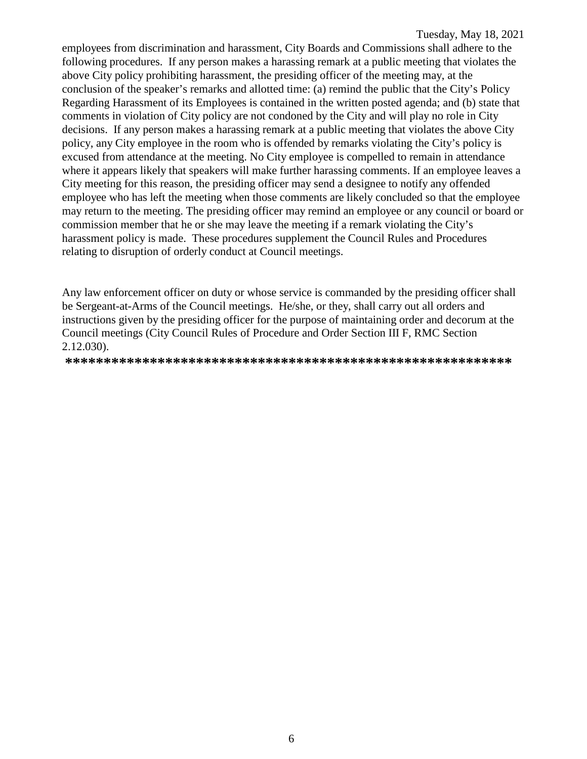employees from discrimination and harassment, City Boards and Commissions shall adhere to the following procedures. If any person makes a harassing remark at a public meeting that violates the above City policy prohibiting harassment, the presiding officer of the meeting may, at the conclusion of the speaker's remarks and allotted time: (a) remind the public that the City's Policy Regarding Harassment of its Employees is contained in the written posted agenda; and (b) state that comments in violation of City policy are not condoned by the City and will play no role in City decisions. If any person makes a harassing remark at a public meeting that violates the above City policy, any City employee in the room who is offended by remarks violating the City's policy is excused from attendance at the meeting. No City employee is compelled to remain in attendance where it appears likely that speakers will make further harassing comments. If an employee leaves a City meeting for this reason, the presiding officer may send a designee to notify any offended employee who has left the meeting when those comments are likely concluded so that the employee may return to the meeting. The presiding officer may remind an employee or any council or board or commission member that he or she may leave the meeting if a remark violating the City's harassment policy is made. These procedures supplement the Council Rules and Procedures relating to disruption of orderly conduct at Council meetings.

Any law enforcement officer on duty or whose service is commanded by the presiding officer shall be Sergeant-at-Arms of the Council meetings. He/she, or they, shall carry out all orders and instructions given by the presiding officer for the purpose of maintaining order and decorum at the Council meetings (City Council Rules of Procedure and Order Section III F, RMC Section 2.12.030).

**\*\*\*\*\*\*\*\*\*\*\*\*\*\*\*\*\*\*\*\*\*\*\*\*\*\*\*\*\*\*\*\*\*\*\*\*\*\*\*\*\*\*\*\*\*\*\*\*\*\*\*\*\*\*\*\*\*\***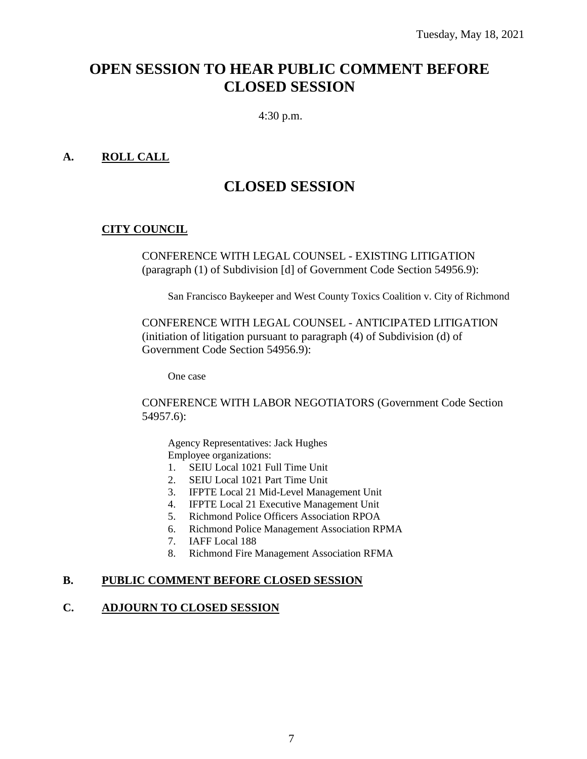# **OPEN SESSION TO HEAR PUBLIC COMMENT BEFORE CLOSED SESSION**

4:30 p.m.

#### **A. ROLL CALL**

# **CLOSED SESSION**

### **CITY COUNCIL**

CONFERENCE WITH LEGAL COUNSEL - EXISTING LITIGATION (paragraph (1) of Subdivision [d] of Government Code Section 54956.9):

San Francisco Baykeeper and West County Toxics Coalition v. City of Richmond

CONFERENCE WITH LEGAL COUNSEL - ANTICIPATED LITIGATION (initiation of litigation pursuant to paragraph (4) of Subdivision (d) of Government Code Section 54956.9):

One case

CONFERENCE WITH LABOR NEGOTIATORS (Government Code Section 54957.6):

Agency Representatives: Jack Hughes Employee organizations:

- 1. SEIU Local 1021 Full Time Unit
- 2. SEIU Local 1021 Part Time Unit
- 3. IFPTE Local 21 Mid-Level Management Unit
- 4. IFPTE Local 21 Executive Management Unit
- 5. Richmond Police Officers Association RPOA
- 6. Richmond Police Management Association RPMA
- 7. IAFF Local 188
- 8. Richmond Fire Management Association RFMA

#### **B. PUBLIC COMMENT BEFORE CLOSED SESSION**

#### **C. ADJOURN TO CLOSED SESSION**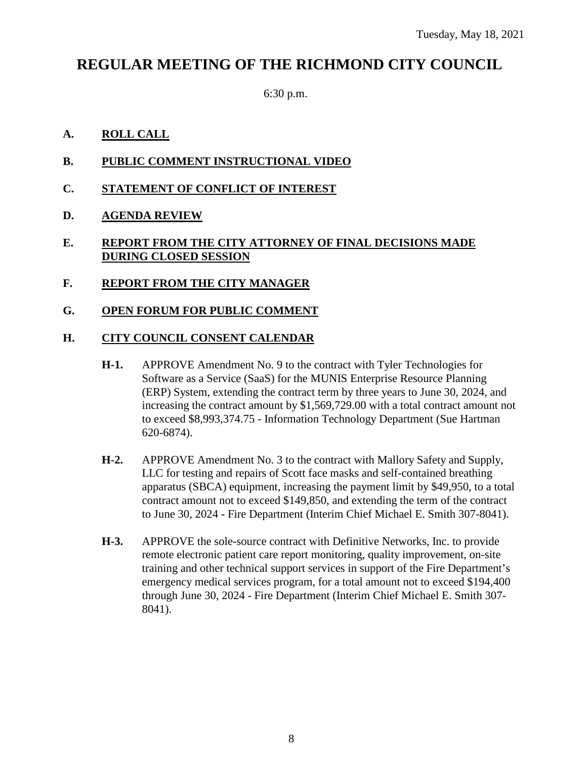# **REGULAR MEETING OF THE RICHMOND CITY COUNCIL**

6:30 p.m.

### **A. ROLL CALL**

- **B. PUBLIC COMMENT INSTRUCTIONAL VIDEO**
- **C. STATEMENT OF CONFLICT OF INTEREST**
- **D. AGENDA REVIEW**
- **E. REPORT FROM THE CITY ATTORNEY OF FINAL DECISIONS MADE DURING CLOSED SESSION**
- **F. REPORT FROM THE CITY MANAGER**
- **G. OPEN FORUM FOR PUBLIC COMMENT**

#### **H. CITY COUNCIL CONSENT CALENDAR**

- **H-1.** APPROVE Amendment No. 9 to the contract with Tyler Technologies for Software as a Service (SaaS) for the MUNIS Enterprise Resource Planning (ERP) System, extending the contract term by three years to June 30, 2024, and increasing the contract amount by \$1,569,729.00 with a total contract amount not to exceed \$8,993,374.75 - Information Technology Department (Sue Hartman 620-6874).
- **H-2.** APPROVE Amendment No. 3 to the contract with Mallory Safety and Supply, LLC for testing and repairs of Scott face masks and self-contained breathing apparatus (SBCA) equipment, increasing the payment limit by \$49,950, to a total contract amount not to exceed \$149,850, and extending the term of the contract to June 30, 2024 - Fire Department (Interim Chief Michael E. Smith 307-8041).
- **H-3.** APPROVE the sole-source contract with Definitive Networks, Inc. to provide remote electronic patient care report monitoring, quality improvement, on-site training and other technical support services in support of the Fire Department's emergency medical services program, for a total amount not to exceed \$194,400 through June 30, 2024 - Fire Department (Interim Chief Michael E. Smith 307- 8041).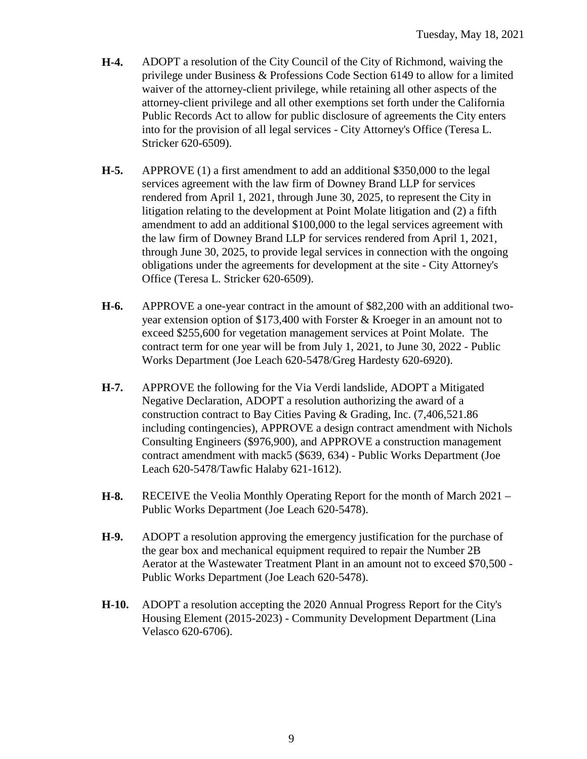- **H-4.** ADOPT a resolution of the City Council of the City of Richmond, waiving the privilege under Business & Professions Code Section 6149 to allow for a limited waiver of the attorney-client privilege, while retaining all other aspects of the attorney-client privilege and all other exemptions set forth under the California Public Records Act to allow for public disclosure of agreements the City enters into for the provision of all legal services - City Attorney's Office (Teresa L. Stricker 620-6509).
- **H-5.** APPROVE (1) a first amendment to add an additional \$350,000 to the legal services agreement with the law firm of Downey Brand LLP for services rendered from April 1, 2021, through June 30, 2025, to represent the City in litigation relating to the development at Point Molate litigation and (2) a fifth amendment to add an additional \$100,000 to the legal services agreement with the law firm of Downey Brand LLP for services rendered from April 1, 2021, through June 30, 2025, to provide legal services in connection with the ongoing obligations under the agreements for development at the site - City Attorney's Office (Teresa L. Stricker 620-6509).
- **H-6.** APPROVE a one-year contract in the amount of \$82,200 with an additional twoyear extension option of \$173,400 with Forster & Kroeger in an amount not to exceed \$255,600 for vegetation management services at Point Molate. The contract term for one year will be from July 1, 2021, to June 30, 2022 - Public Works Department (Joe Leach 620-5478/Greg Hardesty 620-6920).
- **H-7.** APPROVE the following for the Via Verdi landslide, ADOPT a Mitigated Negative Declaration, ADOPT a resolution authorizing the award of a construction contract to Bay Cities Paving & Grading, Inc. (7,406,521.86 including contingencies), APPROVE a design contract amendment with Nichols Consulting Engineers (\$976,900), and APPROVE a construction management contract amendment with mack5 (\$639, 634) - Public Works Department (Joe Leach 620-5478/Tawfic Halaby 621-1612).
- **H-8.** RECEIVE the Veolia Monthly Operating Report for the month of March 2021 Public Works Department (Joe Leach 620-5478).
- **H-9.** ADOPT a resolution approving the emergency justification for the purchase of the gear box and mechanical equipment required to repair the Number 2B Aerator at the Wastewater Treatment Plant in an amount not to exceed \$70,500 - Public Works Department (Joe Leach 620-5478).
- **H-10.** ADOPT a resolution accepting the 2020 Annual Progress Report for the City's Housing Element (2015-2023) - Community Development Department (Lina Velasco 620-6706).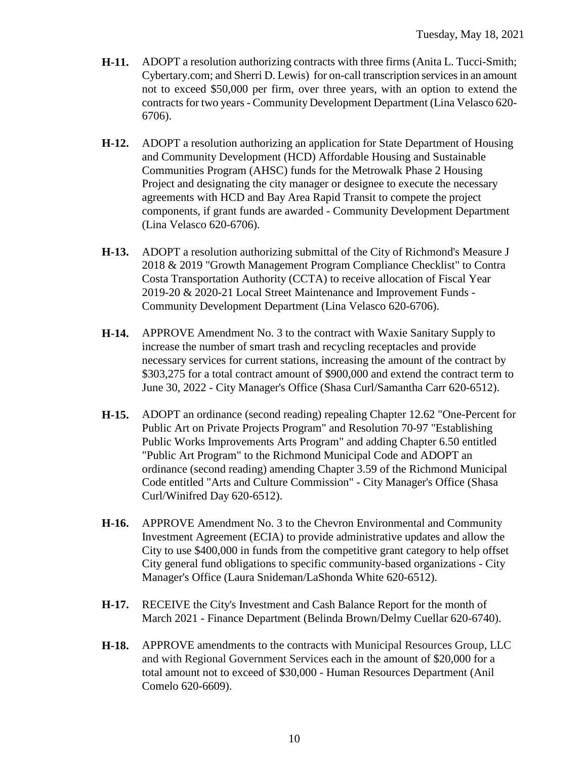- **H-11.** ADOPT a resolution authorizing contracts with three firms (Anita L. Tucci-Smith; Cybertary.com; and Sherri D. Lewis) for on-call transcription services in an amount not to exceed \$50,000 per firm, over three years, with an option to extend the contracts for two years - Community Development Department (Lina Velasco 620- 6706).
- **H-12.** ADOPT a resolution authorizing an application for State Department of Housing and Community Development (HCD) Affordable Housing and Sustainable Communities Program (AHSC) funds for the Metrowalk Phase 2 Housing Project and designating the city manager or designee to execute the necessary agreements with HCD and Bay Area Rapid Transit to compete the project components, if grant funds are awarded - Community Development Department (Lina Velasco 620-6706).
- **H-13.** ADOPT a resolution authorizing submittal of the City of Richmond's Measure J 2018 & 2019 "Growth Management Program Compliance Checklist" to Contra Costa Transportation Authority (CCTA) to receive allocation of Fiscal Year 2019-20 & 2020-21 Local Street Maintenance and Improvement Funds - Community Development Department (Lina Velasco 620-6706).
- **H-14.** APPROVE Amendment No. 3 to the contract with Waxie Sanitary Supply to increase the number of smart trash and recycling receptacles and provide necessary services for current stations, increasing the amount of the contract by \$303,275 for a total contract amount of \$900,000 and extend the contract term to June 30, 2022 - City Manager's Office (Shasa Curl/Samantha Carr 620-6512).
- **H-15.** ADOPT an ordinance (second reading) repealing Chapter 12.62 "One-Percent for Public Art on Private Projects Program" and Resolution 70-97 "Establishing Public Works Improvements Arts Program" and adding Chapter 6.50 entitled "Public Art Program" to the Richmond Municipal Code and ADOPT an ordinance (second reading) amending Chapter 3.59 of the Richmond Municipal Code entitled "Arts and Culture Commission" - City Manager's Office (Shasa Curl/Winifred Day 620-6512).
- **H-16.** APPROVE Amendment No. 3 to the Chevron Environmental and Community Investment Agreement (ECIA) to provide administrative updates and allow the City to use \$400,000 in funds from the competitive grant category to help offset City general fund obligations to specific community-based organizations - City Manager's Office (Laura Snideman/LaShonda White 620-6512).
- **H-17.** RECEIVE the City's Investment and Cash Balance Report for the month of March 2021 - Finance Department (Belinda Brown/Delmy Cuellar 620-6740).
- **H-18.** APPROVE amendments to the contracts with Municipal Resources Group, LLC and with Regional Government Services each in the amount of \$20,000 for a total amount not to exceed of \$30,000 - Human Resources Department (Anil Comelo 620-6609).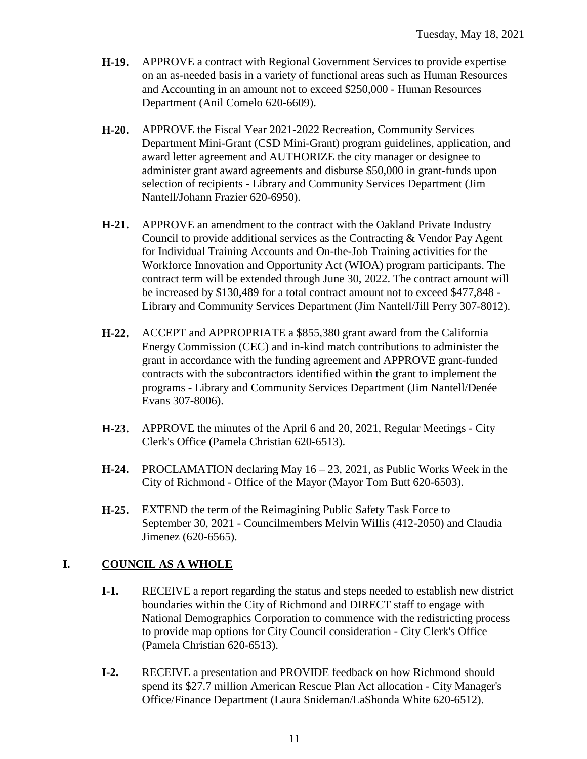- **H-19.** APPROVE a contract with Regional Government Services to provide expertise on an as-needed basis in a variety of functional areas such as Human Resources and Accounting in an amount not to exceed \$250,000 - Human Resources Department (Anil Comelo 620-6609).
- **H-20.** APPROVE the Fiscal Year 2021-2022 Recreation, Community Services Department Mini-Grant (CSD Mini-Grant) program guidelines, application, and award letter agreement and AUTHORIZE the city manager or designee to administer grant award agreements and disburse \$50,000 in grant-funds upon selection of recipients - Library and Community Services Department (Jim Nantell/Johann Frazier 620-6950).
- **H-21.** APPROVE an amendment to the contract with the Oakland Private Industry Council to provide additional services as the Contracting & Vendor Pay Agent for Individual Training Accounts and On-the-Job Training activities for the Workforce Innovation and Opportunity Act (WIOA) program participants. The contract term will be extended through June 30, 2022. The contract amount will be increased by \$130,489 for a total contract amount not to exceed \$477,848 - Library and Community Services Department (Jim Nantell/Jill Perry 307-8012).
- **H-22.** ACCEPT and APPROPRIATE a \$855,380 grant award from the California Energy Commission (CEC) and in-kind match contributions to administer the grant in accordance with the funding agreement and APPROVE grant-funded contracts with the subcontractors identified within the grant to implement the programs - Library and Community Services Department (Jim Nantell/Denée Evans 307-8006).
- **H-23.** APPROVE the minutes of the April 6 and 20, 2021, Regular Meetings City Clerk's Office (Pamela Christian 620-6513).
- **H-24.** PROCLAMATION declaring May 16 23, 2021, as Public Works Week in the City of Richmond - Office of the Mayor (Mayor Tom Butt 620-6503).
- **H-25.** EXTEND the term of the Reimagining Public Safety Task Force to September 30, 2021 - Councilmembers Melvin Willis (412-2050) and Claudia Jimenez (620-6565).

### **I. COUNCIL AS A WHOLE**

- **I-1.** RECEIVE a report regarding the status and steps needed to establish new district boundaries within the City of Richmond and DIRECT staff to engage with National Demographics Corporation to commence with the redistricting process to provide map options for City Council consideration - City Clerk's Office (Pamela Christian 620-6513).
- **I-2.** RECEIVE a presentation and PROVIDE feedback on how Richmond should spend its \$27.7 million American Rescue Plan Act allocation - City Manager's Office/Finance Department (Laura Snideman/LaShonda White 620-6512).